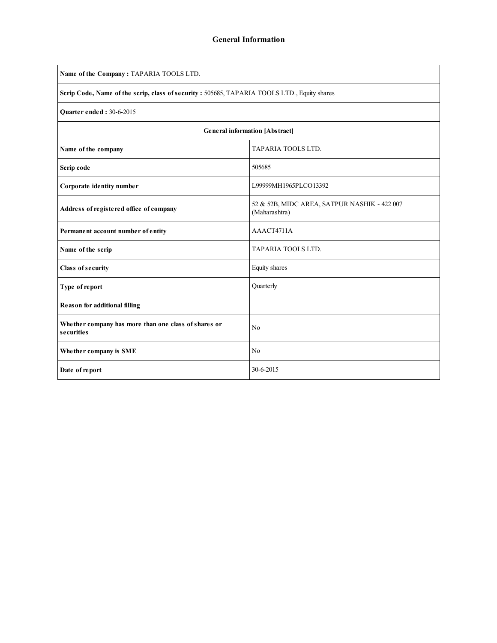| Name of the Company: TAPARIA TOOLS LTD.                                                      |                                                               |  |  |  |  |  |  |  |
|----------------------------------------------------------------------------------------------|---------------------------------------------------------------|--|--|--|--|--|--|--|
| Scrip Code, Name of the scrip, class of security : 505685, TAPARIA TOOLS LTD., Equity shares |                                                               |  |  |  |  |  |  |  |
| <b>Ouarter ended: 30-6-2015</b>                                                              |                                                               |  |  |  |  |  |  |  |
| General information [Abstract]                                                               |                                                               |  |  |  |  |  |  |  |
| Name of the company                                                                          | TAPARIA TOOLS LTD.                                            |  |  |  |  |  |  |  |
| Scrip code                                                                                   | 505685                                                        |  |  |  |  |  |  |  |
| Corporate identity number                                                                    | L99999MH1965PLCO13392                                         |  |  |  |  |  |  |  |
| Address of registered office of company                                                      | 52 & 52B, MIDC AREA, SATPUR NASHIK - 422 007<br>(Maharashtra) |  |  |  |  |  |  |  |
| Permanent account number of entity                                                           | AAACT4711A                                                    |  |  |  |  |  |  |  |
| Name of the scrip                                                                            | TAPARIA TOOLS LTD.                                            |  |  |  |  |  |  |  |
| Class of security                                                                            | Equity shares                                                 |  |  |  |  |  |  |  |
| Type of report                                                                               | Quarterly                                                     |  |  |  |  |  |  |  |
| Reason for additional filling                                                                |                                                               |  |  |  |  |  |  |  |
| Whether company has more than one class of shares or<br>securities                           | N <sub>0</sub>                                                |  |  |  |  |  |  |  |
| Whether company is SME                                                                       | No                                                            |  |  |  |  |  |  |  |
| Date of report                                                                               | 30-6-2015                                                     |  |  |  |  |  |  |  |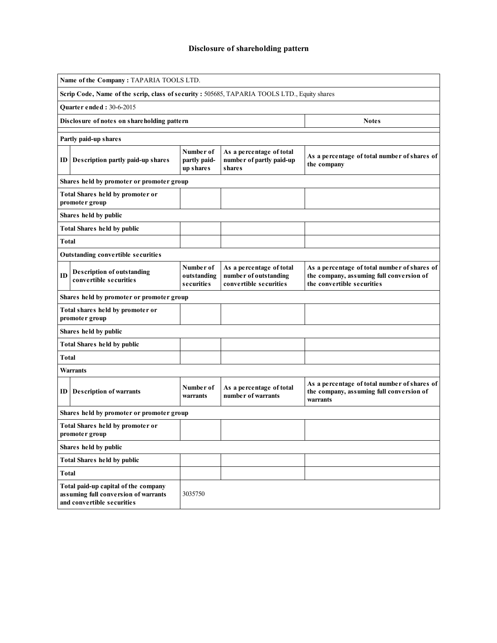## Disclosure of shareholding pattern

| Name of the Company: TAPARIA TOOLS LTD.                                                      |                                                                                                                       |                                        |                                                                             |                                                                                                                        |  |  |  |  |  |  |  |
|----------------------------------------------------------------------------------------------|-----------------------------------------------------------------------------------------------------------------------|----------------------------------------|-----------------------------------------------------------------------------|------------------------------------------------------------------------------------------------------------------------|--|--|--|--|--|--|--|
| Scrip Code, Name of the scrip, class of security : 505685, TAPARIA TOOLS LTD., Equity shares |                                                                                                                       |                                        |                                                                             |                                                                                                                        |  |  |  |  |  |  |  |
|                                                                                              | <b>Quarter ended: 30-6-2015</b>                                                                                       |                                        |                                                                             |                                                                                                                        |  |  |  |  |  |  |  |
|                                                                                              | Disclosure of notes on shareholding pattern                                                                           | <b>Notes</b>                           |                                                                             |                                                                                                                        |  |  |  |  |  |  |  |
|                                                                                              | Partly paid-up shares                                                                                                 |                                        |                                                                             |                                                                                                                        |  |  |  |  |  |  |  |
| ID                                                                                           | Description partly paid-up shares                                                                                     | Number of<br>partly paid-<br>up shares | As a percentage of total<br>number of partly paid-up<br><b>shares</b>       | As a percentage of total number of shares of<br>the company                                                            |  |  |  |  |  |  |  |
|                                                                                              | Shares held by promoter or promoter group                                                                             |                                        |                                                                             |                                                                                                                        |  |  |  |  |  |  |  |
|                                                                                              | Total Shares held by promoter or<br>promoter group                                                                    |                                        |                                                                             |                                                                                                                        |  |  |  |  |  |  |  |
|                                                                                              | Shares held by public                                                                                                 |                                        |                                                                             |                                                                                                                        |  |  |  |  |  |  |  |
|                                                                                              | <b>Total Shares held by public</b>                                                                                    |                                        |                                                                             |                                                                                                                        |  |  |  |  |  |  |  |
| <b>Total</b>                                                                                 |                                                                                                                       |                                        |                                                                             |                                                                                                                        |  |  |  |  |  |  |  |
|                                                                                              | Outstanding convertible securities                                                                                    |                                        |                                                                             |                                                                                                                        |  |  |  |  |  |  |  |
| ID                                                                                           | <b>Description of outstanding</b><br>convertible securities                                                           | Number of<br>outstanding<br>securities | As a percentage of total<br>number of outstanding<br>convertible securities | As a percentage of total number of shares of<br>the company, assuming full conversion of<br>the convertible securities |  |  |  |  |  |  |  |
|                                                                                              | Shares held by promoter or promoter group                                                                             |                                        |                                                                             |                                                                                                                        |  |  |  |  |  |  |  |
|                                                                                              | Total shares held by promoter or<br>promoter group                                                                    |                                        |                                                                             |                                                                                                                        |  |  |  |  |  |  |  |
|                                                                                              | Shares held by public                                                                                                 |                                        |                                                                             |                                                                                                                        |  |  |  |  |  |  |  |
|                                                                                              | <b>Total Shares held by public</b>                                                                                    |                                        |                                                                             |                                                                                                                        |  |  |  |  |  |  |  |
| <b>Total</b>                                                                                 |                                                                                                                       |                                        |                                                                             |                                                                                                                        |  |  |  |  |  |  |  |
|                                                                                              | <b>Warrants</b>                                                                                                       |                                        |                                                                             |                                                                                                                        |  |  |  |  |  |  |  |
| ID                                                                                           | <b>Description of warrants</b>                                                                                        | Number of<br>warrants                  | As a percentage of total<br>number of warrants                              | As a percentage of total number of shares of<br>the company, assuming full conversion of<br>warrants                   |  |  |  |  |  |  |  |
|                                                                                              | Shares held by promoter or promoter group                                                                             |                                        |                                                                             |                                                                                                                        |  |  |  |  |  |  |  |
|                                                                                              | Total Shares held by promoter or<br>promoter group                                                                    |                                        |                                                                             |                                                                                                                        |  |  |  |  |  |  |  |
|                                                                                              | Shares held by public                                                                                                 |                                        |                                                                             |                                                                                                                        |  |  |  |  |  |  |  |
|                                                                                              | <b>Total Shares held by public</b>                                                                                    |                                        |                                                                             |                                                                                                                        |  |  |  |  |  |  |  |
| <b>Total</b>                                                                                 |                                                                                                                       |                                        |                                                                             |                                                                                                                        |  |  |  |  |  |  |  |
|                                                                                              | Total paid-up capital of the company<br>3035750<br>assuming full conversion of warrants<br>and convertible securities |                                        |                                                                             |                                                                                                                        |  |  |  |  |  |  |  |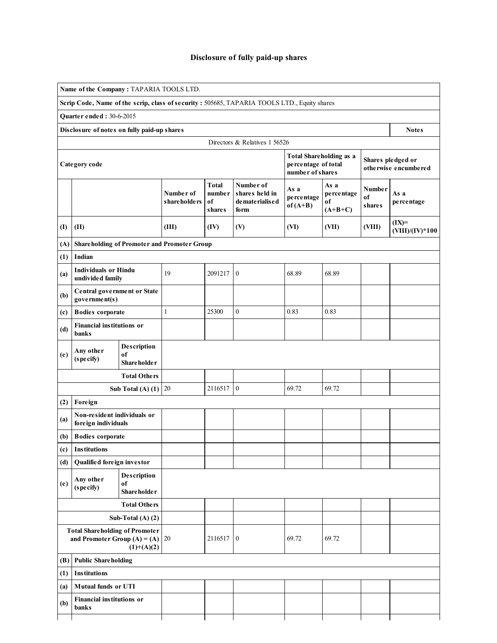## Disclosure of fully paid-up shares

|                                                                                                 | Name of the Company: TAPARIA TOOLS LTD.                           |                                         |                            |                                               |                                                                                              |                                                                           |                                       |                                      |                                           |
|-------------------------------------------------------------------------------------------------|-------------------------------------------------------------------|-----------------------------------------|----------------------------|-----------------------------------------------|----------------------------------------------------------------------------------------------|---------------------------------------------------------------------------|---------------------------------------|--------------------------------------|-------------------------------------------|
|                                                                                                 |                                                                   |                                         |                            |                                               | Scrip Code, Name of the scrip, class of security : 505685, TAPARIA TOOLS LTD., Equity shares |                                                                           |                                       |                                      |                                           |
|                                                                                                 | Quarter ended: 30-6-2015                                          |                                         |                            |                                               |                                                                                              |                                                                           |                                       |                                      |                                           |
|                                                                                                 | Disclosure of notes on fully paid-up shares                       |                                         |                            |                                               | Directors & Relatives 1 56526                                                                |                                                                           |                                       |                                      | <b>Notes</b>                              |
|                                                                                                 | Category code                                                     |                                         |                            |                                               |                                                                                              | <b>Total Shareholding as a</b><br>percentage of total<br>number of shares |                                       |                                      | Shares pledged or<br>otherwise encumbered |
|                                                                                                 |                                                                   |                                         | Number of<br>share holders | <b>Total</b><br>number<br>of<br><b>shares</b> | Number of<br>shares held in<br>de mate rialis e d<br>form                                    | As a<br>percentage<br>$of (A+B)$                                          | As a<br>percentage<br>of<br>$(A+B+C)$ | <b>Number</b><br>of<br><b>shares</b> | As a<br>percentage                        |
| $\textcircled{1}$                                                                               | (II)                                                              |                                         | (III)                      | (IV)                                          | (V)                                                                                          | (VI)                                                                      | (VII)                                 | (VIII)                               | $(IX)=$<br>$(VIII)/(IV)*100$              |
| (A)                                                                                             | <b>Shareholding of Promoter and Promoter Group</b>                |                                         |                            |                                               |                                                                                              |                                                                           |                                       |                                      |                                           |
| (1)                                                                                             | Indian                                                            |                                         |                            |                                               |                                                                                              |                                                                           |                                       |                                      |                                           |
| (a)                                                                                             | <b>Individuals or Hindu</b><br>undivided family                   |                                         | 19                         | 2091217                                       | $\boldsymbol{0}$                                                                             | 68.89                                                                     | 68.89                                 |                                      |                                           |
| (b)                                                                                             | Central government or State<br>government(s)                      |                                         |                            |                                               |                                                                                              |                                                                           |                                       |                                      |                                           |
| (c)                                                                                             | <b>Bodies</b> corporate                                           |                                         | $\mathbf{1}$               | 25300                                         | $\boldsymbol{0}$                                                                             | 0.83                                                                      | 0.83                                  |                                      |                                           |
| (d)                                                                                             | <b>Financial institutions or</b><br>banks                         |                                         |                            |                                               |                                                                                              |                                                                           |                                       |                                      |                                           |
| (e)                                                                                             | Description<br>Any other<br>of<br>(specify)<br><b>Shareholder</b> |                                         |                            |                                               |                                                                                              |                                                                           |                                       |                                      |                                           |
|                                                                                                 |                                                                   | <b>Total Others</b>                     |                            |                                               |                                                                                              |                                                                           |                                       |                                      |                                           |
|                                                                                                 |                                                                   | Sub Total (A) $(1)$ 20                  |                            | 2116517                                       | $\boldsymbol{0}$                                                                             | 69.72                                                                     | 69.72                                 |                                      |                                           |
| (2)                                                                                             | Foreign                                                           |                                         |                            |                                               |                                                                                              |                                                                           |                                       |                                      |                                           |
| (a)                                                                                             | Non-resident individuals or<br>foreign individuals                |                                         |                            |                                               |                                                                                              |                                                                           |                                       |                                      |                                           |
| (b)                                                                                             | <b>Bodies</b> corporate                                           |                                         |                            |                                               |                                                                                              |                                                                           |                                       |                                      |                                           |
| (c)                                                                                             | <b>Institutions</b>                                               |                                         |                            |                                               |                                                                                              |                                                                           |                                       |                                      |                                           |
| (d)                                                                                             | Qualified foreign investor                                        |                                         |                            |                                               |                                                                                              |                                                                           |                                       |                                      |                                           |
| (e)                                                                                             | Any other<br>(specify)                                            | Description<br>of<br><b>Shareholder</b> |                            |                                               |                                                                                              |                                                                           |                                       |                                      |                                           |
|                                                                                                 |                                                                   | <b>Total Others</b>                     |                            |                                               |                                                                                              |                                                                           |                                       |                                      |                                           |
|                                                                                                 |                                                                   | Sub-Total $(A)$ $(2)$                   |                            |                                               |                                                                                              |                                                                           |                                       |                                      |                                           |
| <b>Total Shareholding of Promoter</b><br>and Promoter Group (A) = (A) $\mid$ 20<br>$(1)+(A)(2)$ |                                                                   |                                         | 2116517                    | $\overline{0}$                                | 69.72                                                                                        | 69.72                                                                     |                                       |                                      |                                           |
| (B)                                                                                             | <b>Public Shareholding</b>                                        |                                         |                            |                                               |                                                                                              |                                                                           |                                       |                                      |                                           |
| (1)                                                                                             | <b>Institutions</b>                                               |                                         |                            |                                               |                                                                                              |                                                                           |                                       |                                      |                                           |
| (a)                                                                                             | Mutual funds or UTI                                               |                                         |                            |                                               |                                                                                              |                                                                           |                                       |                                      |                                           |
| (b)                                                                                             | <b>Financial institutions or</b><br>banks                         |                                         |                            |                                               |                                                                                              |                                                                           |                                       |                                      |                                           |
|                                                                                                 |                                                                   |                                         |                            |                                               |                                                                                              |                                                                           |                                       |                                      |                                           |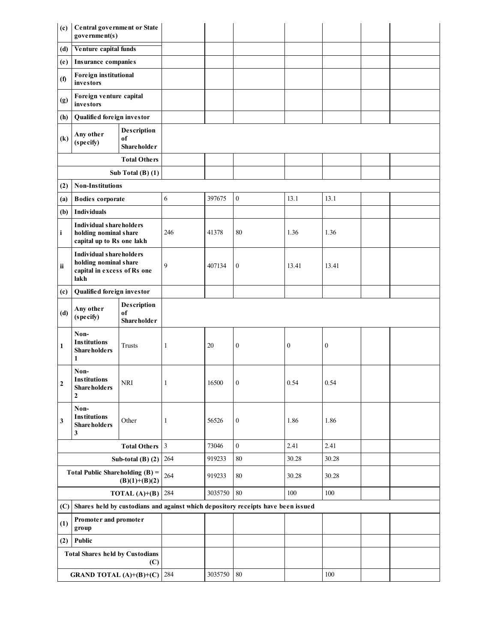| (c)               | Central government or State<br>government(s)                                                   |                                         |                |         |                                                                                  |                  |                  |  |  |  |  |
|-------------------|------------------------------------------------------------------------------------------------|-----------------------------------------|----------------|---------|----------------------------------------------------------------------------------|------------------|------------------|--|--|--|--|
| (d)               | Venture capital funds                                                                          |                                         |                |         |                                                                                  |                  |                  |  |  |  |  |
| (e)               | Insurance companies                                                                            |                                         |                |         |                                                                                  |                  |                  |  |  |  |  |
| (1)               | Foreign institutional<br>investors                                                             |                                         |                |         |                                                                                  |                  |                  |  |  |  |  |
| (g)               | Foreign venture capital<br>investors                                                           |                                         |                |         |                                                                                  |                  |                  |  |  |  |  |
| (h)               | Qualified foreign investor                                                                     |                                         |                |         |                                                                                  |                  |                  |  |  |  |  |
| $\left( k\right)$ | Any other<br>(specify)                                                                         | Description<br>of<br><b>Shareholder</b> |                |         |                                                                                  |                  |                  |  |  |  |  |
|                   |                                                                                                | <b>Total Others</b>                     |                |         |                                                                                  |                  |                  |  |  |  |  |
|                   |                                                                                                | Sub Total $(B)$ $(1)$                   |                |         |                                                                                  |                  |                  |  |  |  |  |
| (2)               | <b>Non-Institutions</b>                                                                        |                                         |                |         |                                                                                  |                  |                  |  |  |  |  |
| (a)               | <b>Bodies</b> corporate                                                                        |                                         | 6              | 397675  | $\boldsymbol{0}$                                                                 | 13.1             | 13.1             |  |  |  |  |
| (b)               | <b>Individuals</b>                                                                             |                                         |                |         |                                                                                  |                  |                  |  |  |  |  |
| $\mathbf{i}$      | <b>Individual shareholders</b><br>holding nominal share<br>capital up to Rs one lakh           |                                         | 246            | 41378   | 80                                                                               | 1.36             | 1.36             |  |  |  |  |
| ii                | <b>Individual shareholders</b><br>holding nominal share<br>capital in excess of Rs one<br>lakh |                                         | 9              | 407134  | $\boldsymbol{0}$                                                                 | 13.41            | 13.41            |  |  |  |  |
| (c)               | Qualified foreign investor                                                                     |                                         |                |         |                                                                                  |                  |                  |  |  |  |  |
| (d)               | Any other<br>(specify)                                                                         | Description<br>of<br><b>Shareholder</b> |                |         |                                                                                  |                  |                  |  |  |  |  |
| 1                 | Non-<br><b>Institutions</b><br>Share holders<br>1                                              | Trusts                                  | $\mathbf{1}$   | 20      | $\boldsymbol{0}$                                                                 | $\boldsymbol{0}$ | $\boldsymbol{0}$ |  |  |  |  |
| $\mathbf{2}$      | Non-<br><b>Institutions</b><br>Share holders<br>$\mathbf{2}$                                   | NRI                                     | 1              | 16500   | $\boldsymbol{0}$                                                                 | 0.54             | 0.54             |  |  |  |  |
| 3                 | Non-<br><b>Institutions</b><br><b>Shareholders</b><br>3                                        | Other                                   | $\mathbf{1}$   | 56526   | $\boldsymbol{0}$                                                                 | 1.86             | 1.86             |  |  |  |  |
|                   |                                                                                                | <b>Total Others</b>                     | $\mathfrak{Z}$ | 73046   | $\mathbf{0}$                                                                     | 2.41             | 2.41             |  |  |  |  |
|                   |                                                                                                | Sub-total $(B)$ $(2)$                   | 264            | 919233  | $80\,$                                                                           | 30.28            | 30.28            |  |  |  |  |
|                   | Total Public Shareholding $(B)$ =                                                              | $(B)(1)+(B)(2)$                         | 264            | 919233  | $80\,$                                                                           | 30.28            | 30.28            |  |  |  |  |
|                   |                                                                                                | TOTAL $(A)+(B)$                         | 284            | 3035750 | $80\,$                                                                           | 100              | 100              |  |  |  |  |
| (C)               |                                                                                                |                                         |                |         | Shares held by custodians and against which depository receipts have been issued |                  |                  |  |  |  |  |
| (1)               | Promoter and promoter<br>group                                                                 |                                         |                |         |                                                                                  |                  |                  |  |  |  |  |
| (2)               | Public                                                                                         |                                         |                |         |                                                                                  |                  |                  |  |  |  |  |
|                   | <b>Total Shares held by Custodians</b>                                                         | (C)                                     |                |         |                                                                                  |                  |                  |  |  |  |  |
|                   | <b>GRAND TOTAL</b> $(A)+(B)+(C)$                                                               |                                         | 284            | 3035750 | 80                                                                               |                  | 100              |  |  |  |  |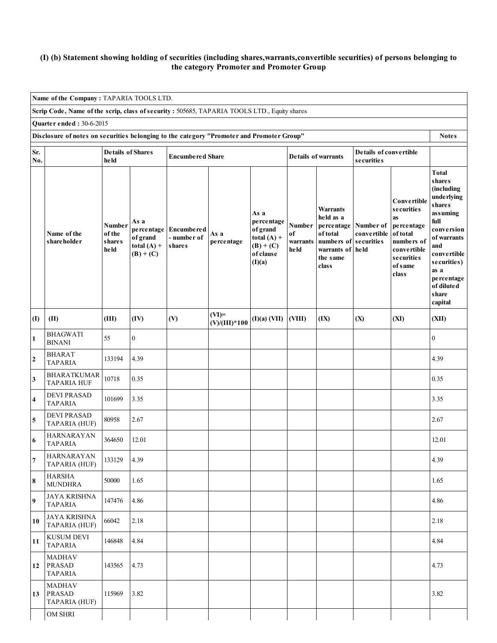## (I) (b) Statement showing holding of securities (including shares,warrants,convertible securities) of persons belonging to the category Promoter and Promoter Group

 $\overline{\phantom{a}}$ 

|                                                                                                           | Name of the Company: TAPARIA TOOLS LTD.          |                                           |                                                                |                                            |                            |                                                                                       |                                  |                                                                                                                     |                                  |                                                                                                                                        |                                                                                                                                                                                                     |  |
|-----------------------------------------------------------------------------------------------------------|--------------------------------------------------|-------------------------------------------|----------------------------------------------------------------|--------------------------------------------|----------------------------|---------------------------------------------------------------------------------------|----------------------------------|---------------------------------------------------------------------------------------------------------------------|----------------------------------|----------------------------------------------------------------------------------------------------------------------------------------|-----------------------------------------------------------------------------------------------------------------------------------------------------------------------------------------------------|--|
| Scrip Code, Name of the scrip, class of security : 505685, TAPARIA TOOLS LTD., Equity shares              |                                                  |                                           |                                                                |                                            |                            |                                                                                       |                                  |                                                                                                                     |                                  |                                                                                                                                        |                                                                                                                                                                                                     |  |
| Quarter ended: 30-6-2015                                                                                  |                                                  |                                           |                                                                |                                            |                            |                                                                                       |                                  |                                                                                                                     |                                  |                                                                                                                                        |                                                                                                                                                                                                     |  |
| Disclosure of notes on securities belonging to the category "Promoter and Promoter Group"<br><b>Notes</b> |                                                  |                                           |                                                                |                                            |                            |                                                                                       |                                  |                                                                                                                     |                                  |                                                                                                                                        |                                                                                                                                                                                                     |  |
| <b>Details of Shares</b><br>Sr.<br>No.<br>held                                                            |                                                  |                                           |                                                                | <b>Encumbered Share</b>                    |                            |                                                                                       | <b>Details of warrants</b>       | Details of convertible<br><b>securities</b>                                                                         |                                  |                                                                                                                                        |                                                                                                                                                                                                     |  |
|                                                                                                           | Name of the<br>shareholder                       | <b>Number</b><br>of the<br>shares<br>held | As a<br>percentage<br>of grand<br>total $(A)$ +<br>$(B) + (C)$ | <b>Encumbered</b><br>- number of<br>shares | As a<br>percentage         | As a<br>percentage<br>of grand<br>total $(A)$ +<br>$(B) + (C)$<br>of clause<br>(I)(a) | Number<br>of<br>warrants<br>held | <b>Warrants</b><br>held as a<br>percentage<br>of total<br>numbers of securities<br>warrants of<br>the same<br>class | Number of<br>convertible<br>held | <b>Convertible</b><br>securities<br><b>as</b><br>percentage<br>of total<br>numbers of<br>convertible<br>securities<br>of same<br>class | Total<br>shares<br>(including<br>underlying<br>shares<br>assuming<br>full<br>conversion<br>of warrants<br>and<br>convertible<br>securities)<br>as a<br>percentage<br>of diluted<br>share<br>capital |  |
| (I)                                                                                                       | (II)                                             | (III)                                     | (IV)                                                           | (V)                                        | $(VI)=$<br>$(V)/(III)*100$ | $(I)(a)$ (VII)                                                                        | (VIII)                           | (IX)                                                                                                                | (X)                              | (XI)                                                                                                                                   | (XII)                                                                                                                                                                                               |  |
| $\mathbf{1}$                                                                                              | <b>BHAGWATI</b><br><b>BINANI</b>                 | 55                                        | $\mathbf{0}$                                                   |                                            |                            |                                                                                       |                                  |                                                                                                                     |                                  |                                                                                                                                        | $\mathbf{0}$                                                                                                                                                                                        |  |
| $\mathbf 2$                                                                                               | <b>BHARAT</b><br><b>TAPARIA</b>                  | 133194                                    | 4.39                                                           |                                            |                            |                                                                                       |                                  |                                                                                                                     |                                  |                                                                                                                                        | 4.39                                                                                                                                                                                                |  |
| 3                                                                                                         | <b>BHARATKUMAR</b><br><b>TAPARIA HUF</b>         | 10718                                     | 0.35                                                           |                                            |                            |                                                                                       |                                  |                                                                                                                     |                                  |                                                                                                                                        | 0.35                                                                                                                                                                                                |  |
| $\overline{\mathbf{4}}$                                                                                   | <b>DEVI PRASAD</b><br><b>TAPARIA</b>             | 101699                                    | 3.35                                                           |                                            |                            |                                                                                       |                                  |                                                                                                                     |                                  |                                                                                                                                        | 3.35                                                                                                                                                                                                |  |
| 5                                                                                                         | <b>DEVI PRASAD</b><br>TAPARIA (HUF)              | 80958                                     | 2.67                                                           |                                            |                            |                                                                                       |                                  |                                                                                                                     |                                  |                                                                                                                                        | 2.67                                                                                                                                                                                                |  |
| 6                                                                                                         | <b>HARNARAYAN</b><br><b>TAPARIA</b>              | 364650                                    | 12.01                                                          |                                            |                            |                                                                                       |                                  |                                                                                                                     |                                  |                                                                                                                                        | 12.01                                                                                                                                                                                               |  |
| $\overline{\mathbf{7}}$                                                                                   | <b>HARNARAYAN</b><br>TAPARIA (HUF)               | 133129                                    | 4.39                                                           |                                            |                            |                                                                                       |                                  |                                                                                                                     |                                  |                                                                                                                                        | 4.39                                                                                                                                                                                                |  |
| 8                                                                                                         | <b>HARSHA</b><br><b>MUNDHRA</b>                  | 50000                                     | 1.65                                                           |                                            |                            |                                                                                       |                                  |                                                                                                                     |                                  |                                                                                                                                        | 1.65                                                                                                                                                                                                |  |
| 9                                                                                                         | <b>JAYA KRISHNA</b><br><b>TAPARIA</b>            | 147476                                    | 4.86                                                           |                                            |                            |                                                                                       |                                  |                                                                                                                     |                                  |                                                                                                                                        | 4.86                                                                                                                                                                                                |  |
| 10                                                                                                        | <b>JAYA KRISHNA</b><br>TAPARIA (HUF)             | 66042                                     | 2.18                                                           |                                            |                            |                                                                                       |                                  |                                                                                                                     |                                  |                                                                                                                                        | 2.18                                                                                                                                                                                                |  |
| 11                                                                                                        | <b>KUSUM DEVI</b><br><b>TAPARIA</b>              | 146848                                    | 4.84                                                           |                                            |                            |                                                                                       |                                  |                                                                                                                     |                                  |                                                                                                                                        | 4.84                                                                                                                                                                                                |  |
| 12                                                                                                        | <b>MADHAV</b><br><b>PRASAD</b><br><b>TAPARIA</b> | 143565                                    | 4.73                                                           |                                            |                            |                                                                                       |                                  |                                                                                                                     |                                  |                                                                                                                                        | 4.73                                                                                                                                                                                                |  |
| 13                                                                                                        | MADHAV<br><b>PRASAD</b><br>TAPARIA (HUF)         | 115969                                    | 3.82                                                           |                                            |                            |                                                                                       |                                  |                                                                                                                     |                                  |                                                                                                                                        | 3.82                                                                                                                                                                                                |  |
|                                                                                                           | OM SHRI                                          |                                           |                                                                |                                            |                            |                                                                                       |                                  |                                                                                                                     |                                  |                                                                                                                                        |                                                                                                                                                                                                     |  |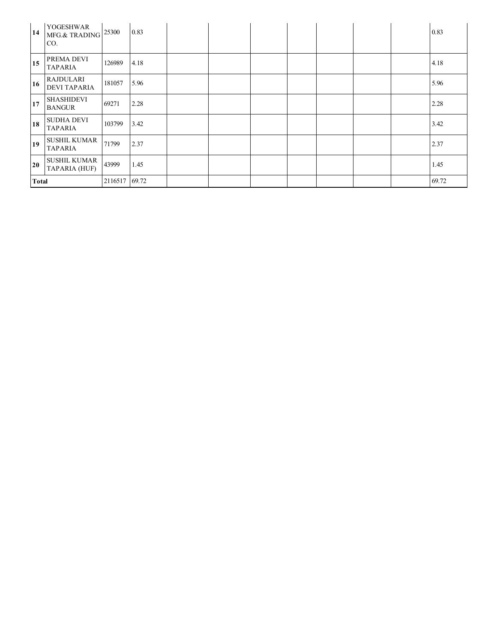| 14           | YOGESHWAR<br>MFG.& TRADING<br>CO.       | 25300   | 0.83  |  |  |  | 0.83  |
|--------------|-----------------------------------------|---------|-------|--|--|--|-------|
| 15           | PREMA DEVI<br><b>TAPARIA</b>            | 126989  | 4.18  |  |  |  | 4.18  |
| 16           | <b>RAJDULARI</b><br><b>DEVI TAPARIA</b> | 181057  | 5.96  |  |  |  | 5.96  |
| 17           | <b>SHASHIDEVI</b><br><b>BANGUR</b>      | 69271   | 2.28  |  |  |  | 2.28  |
| 18           | <b>SUDHA DEVI</b><br><b>TAPARIA</b>     | 103799  | 3.42  |  |  |  | 3.42  |
| 19           | <b>SUSHIL KUMAR</b><br><b>TAPARIA</b>   | 71799   | 2.37  |  |  |  | 2.37  |
| 20           | <b>SUSHIL KUMAR</b><br>TAPARIA (HUF)    | 43999   | 1.45  |  |  |  | 1.45  |
| <b>Total</b> |                                         | 2116517 | 69.72 |  |  |  | 69.72 |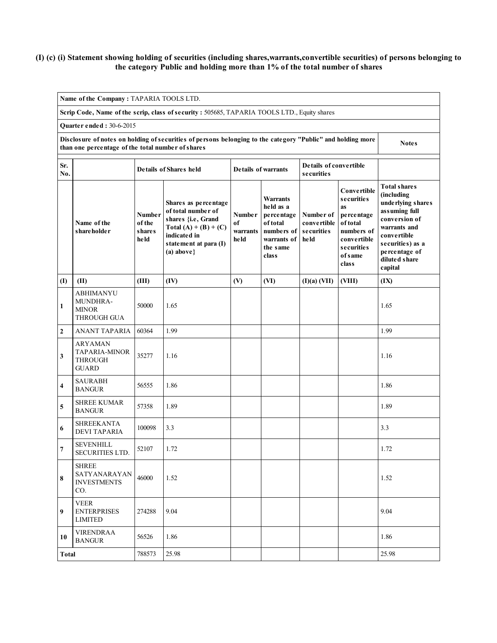## (I) (c) (i) Statement showing holding of securities (including shares,warrants,convertible securities) of persons belonging to the category Public and holding more than 1% of the total number of shares

|                                                                                                                                                                                  | Name of the Company: TAPARIA TOOLS LTD.                                                      |                                           |                                                                                                                                                       |                                   |                                                                                                   |                                                       |                                                                                                                                 |                                                                                                                                                                                          |  |  |  |
|----------------------------------------------------------------------------------------------------------------------------------------------------------------------------------|----------------------------------------------------------------------------------------------|-------------------------------------------|-------------------------------------------------------------------------------------------------------------------------------------------------------|-----------------------------------|---------------------------------------------------------------------------------------------------|-------------------------------------------------------|---------------------------------------------------------------------------------------------------------------------------------|------------------------------------------------------------------------------------------------------------------------------------------------------------------------------------------|--|--|--|
|                                                                                                                                                                                  | Scrip Code, Name of the scrip, class of security : 505685, TAPARIA TOOLS LTD., Equity shares |                                           |                                                                                                                                                       |                                   |                                                                                                   |                                                       |                                                                                                                                 |                                                                                                                                                                                          |  |  |  |
|                                                                                                                                                                                  | Quarter ended: 30-6-2015                                                                     |                                           |                                                                                                                                                       |                                   |                                                                                                   |                                                       |                                                                                                                                 |                                                                                                                                                                                          |  |  |  |
| Disclosure of notes on holding of securities of persons belonging to the category "Public" and holding more<br><b>Notes</b><br>than one percentage of the total number of shares |                                                                                              |                                           |                                                                                                                                                       |                                   |                                                                                                   |                                                       |                                                                                                                                 |                                                                                                                                                                                          |  |  |  |
| Sr.<br>No.                                                                                                                                                                       |                                                                                              |                                           | Details of Shares held                                                                                                                                |                                   | <b>Details of warrants</b>                                                                        | Details of convertible<br>securities                  |                                                                                                                                 |                                                                                                                                                                                          |  |  |  |
|                                                                                                                                                                                  | Name of the<br>shareholder                                                                   | Number<br>of the<br><b>shares</b><br>held | Shares as percentage<br>of total number of<br>shares {i.e, Grand<br>Total $(A) + (B) + (C)$<br>indicated in<br>statement at para (I)<br>$(a) above\}$ | Number<br>оf<br>warrants<br>he ld | Warrants<br>held as a<br>percentage<br>of total<br>numbers of<br>warrants of<br>the same<br>class | Number of<br>convertible<br><b>securities</b><br>held | <b>Convertible</b><br>securities<br>as<br>percentage<br>of total<br>numbers of<br>convertible<br>securities<br>of same<br>class | <b>Total shares</b><br>(including<br>underlying shares<br>assuming full<br>conversion of<br>warrants and<br>convertible<br>securities) as a<br>percentage of<br>diluted share<br>capital |  |  |  |
| (I)                                                                                                                                                                              | (II)                                                                                         | (III)                                     | (IV)                                                                                                                                                  | (V)                               | (VI)                                                                                              | (I)(a) (VII)                                          | (VIII)                                                                                                                          | (IX)                                                                                                                                                                                     |  |  |  |
| 1                                                                                                                                                                                | <b>ABHIMANYU</b><br>MUNDHRA-<br><b>MINOR</b><br><b>THROUGH GUA</b>                           | 50000                                     | 1.65                                                                                                                                                  |                                   |                                                                                                   |                                                       |                                                                                                                                 | 1.65                                                                                                                                                                                     |  |  |  |
| $\overline{2}$                                                                                                                                                                   | <b>ANANT TAPARIA</b>                                                                         | 60364                                     | 1.99                                                                                                                                                  |                                   |                                                                                                   |                                                       |                                                                                                                                 | 1.99                                                                                                                                                                                     |  |  |  |
| 3                                                                                                                                                                                | <b>ARYAMAN</b><br><b>TAPARIA-MINOR</b><br><b>THROUGH</b><br><b>GUARD</b>                     | 35277                                     | 1.16                                                                                                                                                  |                                   |                                                                                                   |                                                       |                                                                                                                                 | 1.16                                                                                                                                                                                     |  |  |  |
| 4                                                                                                                                                                                | <b>SAURABH</b><br><b>BANGUR</b>                                                              | 56555                                     | 1.86                                                                                                                                                  |                                   |                                                                                                   |                                                       |                                                                                                                                 | 1.86                                                                                                                                                                                     |  |  |  |
| 5                                                                                                                                                                                | <b>SHREE KUMAR</b><br><b>BANGUR</b>                                                          | 57358                                     | 1.89                                                                                                                                                  |                                   |                                                                                                   |                                                       |                                                                                                                                 | 1.89                                                                                                                                                                                     |  |  |  |
| 6                                                                                                                                                                                | <b>SHREEKANTA</b><br><b>DEVI TAPARIA</b>                                                     | 100098                                    | 3.3                                                                                                                                                   |                                   |                                                                                                   |                                                       |                                                                                                                                 | 3.3                                                                                                                                                                                      |  |  |  |
| 7                                                                                                                                                                                | <b>SEVENHILL</b><br>SECURITIES LTD.                                                          | 52107                                     | 1.72                                                                                                                                                  |                                   |                                                                                                   |                                                       |                                                                                                                                 | 1.72                                                                                                                                                                                     |  |  |  |
| 8                                                                                                                                                                                | <b>SHREE</b><br>SATYANARAYAN<br><b>INVESTMENTS</b><br>CO.                                    | 46000                                     | 1.52                                                                                                                                                  |                                   |                                                                                                   |                                                       |                                                                                                                                 | 1.52                                                                                                                                                                                     |  |  |  |
| 9                                                                                                                                                                                | <b>VEER</b><br><b>ENTERPRISES</b><br><b>LIMITED</b>                                          | 274288                                    | 9.04                                                                                                                                                  |                                   |                                                                                                   |                                                       |                                                                                                                                 | 9.04                                                                                                                                                                                     |  |  |  |
| 10                                                                                                                                                                               | <b>VIRENDRAA</b><br><b>BANGUR</b>                                                            | 56526                                     | 1.86                                                                                                                                                  |                                   |                                                                                                   |                                                       |                                                                                                                                 | 1.86                                                                                                                                                                                     |  |  |  |
|                                                                                                                                                                                  | 25.98<br>788573<br>25.98<br>Total                                                            |                                           |                                                                                                                                                       |                                   |                                                                                                   |                                                       |                                                                                                                                 |                                                                                                                                                                                          |  |  |  |